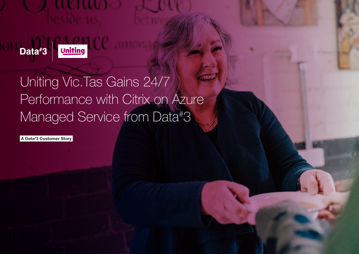**Litter**<br>September 1944<br><mark>Uniting</mark> Data#3

# Uniting Vic.Tas Gains 24/7 Performance with Citrix on Azure Managed Service from Data# 3

A Data# 3 Customer Story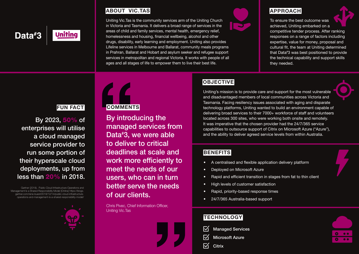### Data#3

**Unitina** 

#### ABOUT VIC.TAS

Uniting Vic.Tas is the community services arm of the Uniting Church in Victoria and Tasmania. It delivers a broad range of services in the areas of child and family services, mental health, emergency relief, homelessness and housing, financial wellbeing, alcohol and other drugs, disability, early learning and employment. Uniting also provides Lifeline services in Melbourne and Ballarat, community meals programs in Prahran, Ballarat and Hobart and asylum seeker and refugee support services in metropolitan and regional Victoria. It works with people of all ages and all stages of life to empower them to live their best life.



#### APPROACH

To ensure the best outcome was achieved, Uniting embarked on a

competitive tender process. After ranking responses on a range of factors including expertise, value for money, proposal and cultural fit, the team at Uniting determined that Data# 3 was best positioned to provide the technical capability and support skills they needed.

#### FUN FACT

By 2023, 50% of enterprises will utilise a cloud managed service provider to run some portion of their hyperscale cloud deployments, up from less than 20% in 2018.

Gartner (2018), Public Cloud Infrastructure Operations and Management Is a Shared Responsibility Model [Online] https://blogs. gartner.com/rene-buest/2018/12/14/public-cloud-infrastructureoperations-and-management-is-a-shared-responsibility-model/



## **COMMENTS**

By introducing the managed services from Data# 3, we were able to deliver to critical deadlines at scale and work more efficiently to meet the needs of our users, who can in turn better serve the needs of our clients.

Chris Pivec, Chief Information Officer, Uniting Vic.Tas



### **OBJECTIVE**

Uniting's mission is to provide care and support for the most vulnerable and disadvantaged members of local communities across Victoria and Tasmania. Facing resiliency issues associated with aging and disparate technology platforms, Uniting wanted to build an environment capable of delivering broad services to their 7000+ workforce of staff and volunteers located across 300 sites, who were working both onsite and remotely. It was imperative that the chosen provider had the 24/7/365 service capabilities to outsource support of Citrix on Microsoft Azure ("Azure"), and the ability to deliver agreed service levels from within Australia.

#### **BENEFITS**

- A centralised and flexible application delivery platform
- Deployed on Microsoft Azure
- Rapid and efficient transition in stages from fat to thin client
- High levels of customer satisfaction
- Rapid, priority-based response times
- 24/7/365 Australia-based support

#### **TECHNOLOGY**

- Managed Services
- Microsoft Azure
- **Citrix**

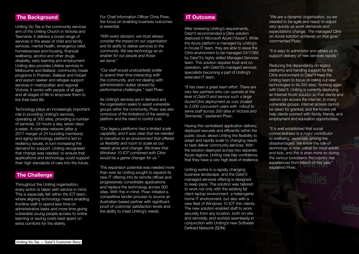#### **The Background**

Uniting Vic.Tas is the community services arm of the Uniting Church in Victoria and Tasmania. It delivers a broad range of services in the areas of child and family services, mental health, emergency relief, homelessness and housing, financial wellbeing, alcohol and other drugs, disability, early learning and employment. Uniting also provides Lifeline services in Melbourne and Ballarat, community meals programs in Prahran, Ballarat and Hobart and asylum seeker and refugee support services in metropolitan and regional Victoria. It works with people of all ages and all stages of life to empower them to live their best life.

Technology plays an increasingly important role in providing Uniting's services, operating at 300 sites, providing a number of services, 24 hours a day, seven days a week. A complex network (after a 2017 merger of 24 founding members) and aging technology platforms led to resiliency issues, in turn increasing the demand for support. Uniting recognised that change was needed, to ensure that applications and technology could support their high standards of care into the future.

#### The Challenge

Throughout the Uniting organisation, every action is taken with service in mind. This is especially felt within the ICT team, where aligning technology means enabling frontline staff to spend less time on administrative tasks and more time giving vulnerable young people access to online learning or saving costs best spent on extra comforts for the elderly.

For Chief Information Officer Chris Pivec, the focus on enabling business outcomes is essential.

*"With every decision, we must always consider the impact on our organisation and its ability to deliver services to the community. We see technology as an enabler for our people and those we serve."*

*"Our staff would undoubtedly prefer to spend their time interacting with the community, and not dealing with administration duties slowed by performance challenges,"* said Pivec.

As Uniting's services are in demand and the organisation seeks to assist vulnerable groups within the community, Pivec was also conscious of the limitations of the existing platform and the need to control cost.

*"Our legacy platforms had a limited scale capability, and it was clear that we needed to transition to an environment that offered us flexibility and room to scale as our needs grow and change. We knew that Windows 10 IOT combined with Citrix would be a game changer for us."*

This expansion potential was needed more than ever as Uniting sought to expand its new IT offering into its remote offices and progressively consolidate applications and replace the technology across 300 sites. With this in mind, Pivec initiated a competitive tender process to source an Australian-based partner with significant proof of customer satisfaction levels and the ability to meet Uniting's needs.

#### IT Outcome

After reviewing Uniting's requirements, Data# 3 recommended a Citrix solution deployed in Microsoft Azure ("Azure"). While the Azure platform is managed by Uniting's in-house IT team, they are able to leave the Citrix environment to be managed 24/7/365 by Data# 3's highly skilled Managed Services team. This solution requires trust and cooperation, with Data# 3's managed services specialists becoming a part of Uniting's extended IT team.

*"It has been a great team effort. There are very few partners who can operate at the level of Data# 3 and service such a large Azure/Citrix deployment as ours (scaled to 2,000 concurrent users with rollout to serve staff across 300 sites in Victoria and Tasmania),"* explained Pivec.

Having this centralised application delivery, deployed securely and efficiently within the public cloud, allows Uniting the flexibility to adapt and rapidly scale to changing needs to best deliver community services. With the solution deployed across two separate Azure regions, Uniting now has confidence that they have a very high level of resilience.

Uniting works in a rapidly changing business landscape, and the Data#3 managed services offering is designed to keep pace. The solution was tailored to work not only with the existing fat client laptop environment, a heterogenic home IT environment, but also with a new fleet of Windows 10 IOT thin clients. The new solution enabled staff to work securely from any location, both on-site and remotely, and worked seamlessly in conjunction with Uniting's new Software Defined Network (SDN).

*"We are a dynamic organisation, so we needed to be agile and ready to adjust very quickly as work demands and expectations change. The managed Citrix on Azure solution achieves on that goal,"*  commented Pivec.

*"It is easy to administer and allows us to support delivery of new services rapidly."*

Reducing the dependency on legacy platforms and handing support for the Citrix environment to Data# 3 frees the Uniting team to focus on rolling out new technologies to its 300 sites. Working again with Data# 3, Uniting is currently deploying an Internet Kiosk solution so that clients and visitors can access the internet. In many vulnerable groups, internet access cannot be taken for granted, and the kiosks will help clients connect with family, friends, and employment and education opportunities.

*"It is well established that social connectedness is a major contributor to wellbeing, especially among the disadvantaged. We know the role of technology is now critical for most adults and kids, and this is even more so during the various lockdowns the country has experienced from March of this year,"*  explained Pivec.